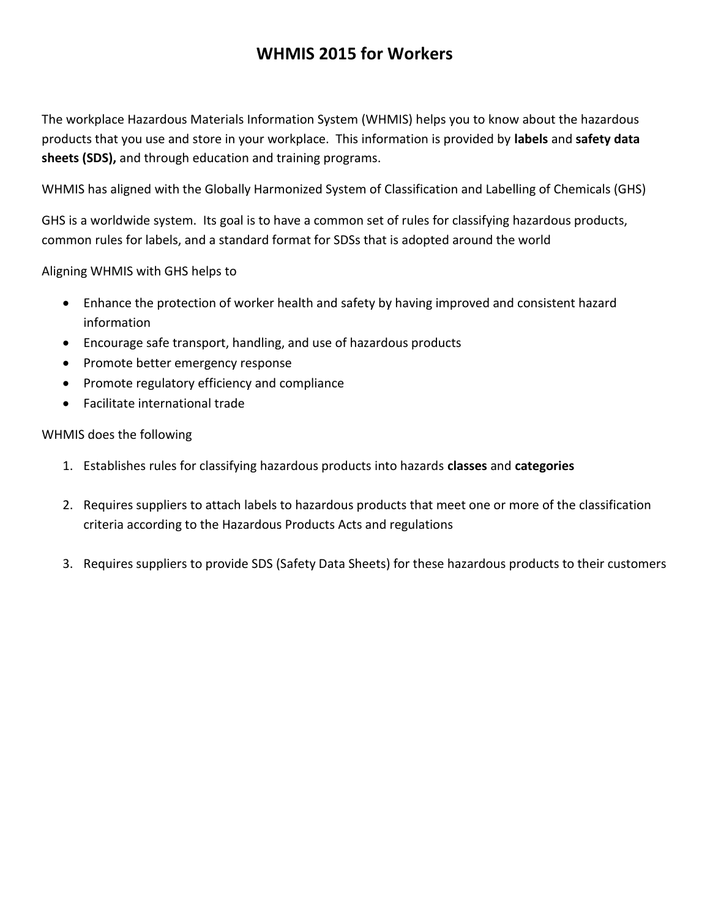# **WHMIS 2015 for Workers**

The workplace Hazardous Materials Information System (WHMIS) helps you to know about the hazardous products that you use and store in your workplace. This information is provided by **labels** and **safety data sheets (SDS),** and through education and training programs.

WHMIS has aligned with the Globally Harmonized System of Classification and Labelling of Chemicals (GHS)

GHS is a worldwide system. Its goal is to have a common set of rules for classifying hazardous products, common rules for labels, and a standard format for SDSs that is adopted around the world

Aligning WHMIS with GHS helps to

- Enhance the protection of worker health and safety by having improved and consistent hazard information
- Encourage safe transport, handling, and use of hazardous products
- Promote better emergency response
- Promote regulatory efficiency and compliance
- Facilitate international trade

WHMIS does the following

- 1. Establishes rules for classifying hazardous products into hazards **classes** and **categories**
- 2. Requires suppliers to attach labels to hazardous products that meet one or more of the classification criteria according to the Hazardous Products Acts and regulations
- 3. Requires suppliers to provide SDS (Safety Data Sheets) for these hazardous products to their customers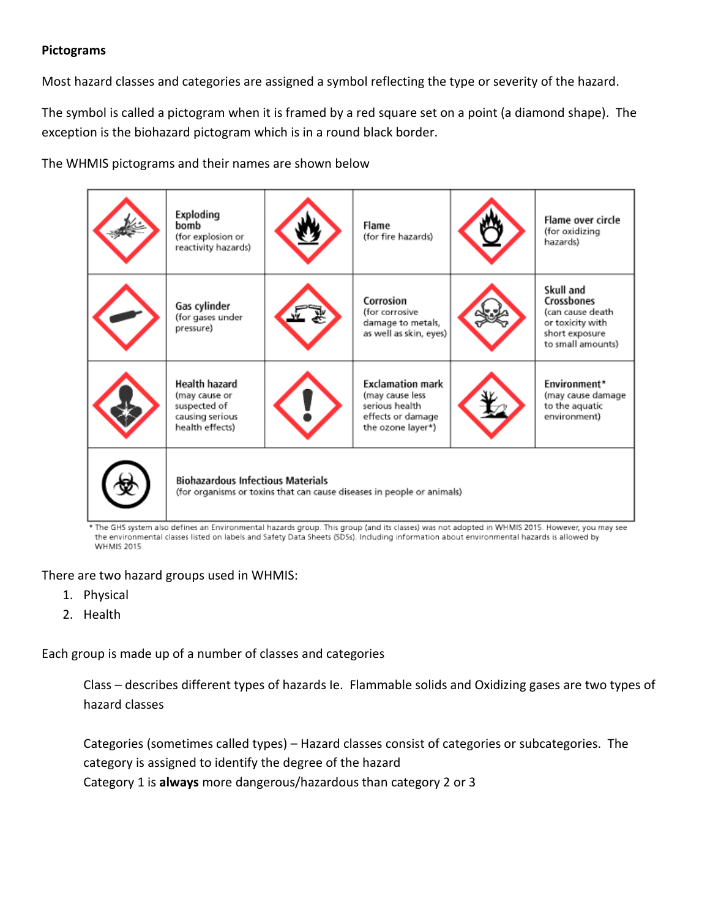### **Pictograms**

Most hazard classes and categories are assigned a symbol reflecting the type or severity of the hazard.

The symbol is called a pictogram when it is framed by a red square set on a point (a diamond shape). The exception is the biohazard pictogram which is in a round black border.

The WHMIS pictograms and their names are shown below

| Exploding<br>bomb<br>(for explosion or<br>reactivity hazards)                                                                                                                                                                                                        |  | Flame<br>(for fire hazards)                                                                            |  | Flame over circle<br>(for oxidizing<br>hazards)                                                        |
|----------------------------------------------------------------------------------------------------------------------------------------------------------------------------------------------------------------------------------------------------------------------|--|--------------------------------------------------------------------------------------------------------|--|--------------------------------------------------------------------------------------------------------|
| Gas cylinder<br>(for gases under<br>pressure)                                                                                                                                                                                                                        |  | Corrosion<br>(for corrosive<br>damage to metals,<br>as well as skin, eyes)                             |  | Skull and<br>Crossbones<br>(can cause death<br>or toxicity with<br>short exposure<br>to small amounts) |
| Health hazard<br>(may cause or<br>suspected of<br>causing serious<br>health effects)                                                                                                                                                                                 |  | <b>Exclamation mark</b><br>(may cause less<br>serious health<br>effects or damage<br>the ozone layer*) |  | Environment*<br>(may cause damage<br>to the aquatic<br>environment)                                    |
| <b>Biohazardous Infectious Materials</b><br>(for organisms or toxins that can cause diseases in people or animals)<br>* The GHS system also defines an Environmental hazards group. This group (and its classes) was not adopted in WHMIS 2015. However, you may see |  |                                                                                                        |  |                                                                                                        |

the environmental classes listed on labels and Safety Data Sheets (SDSs). Including information about environmental hazards is allowed by **WHMIS 2015.** 

There are two hazard groups used in WHMIS:

- 1. Physical
- 2. Health

Each group is made up of a number of classes and categories

Class – describes different types of hazards Ie. Flammable solids and Oxidizing gases are two types of hazard classes

Categories (sometimes called types) – Hazard classes consist of categories or subcategories. The category is assigned to identify the degree of the hazard Category 1 is **always** more dangerous/hazardous than category 2 or 3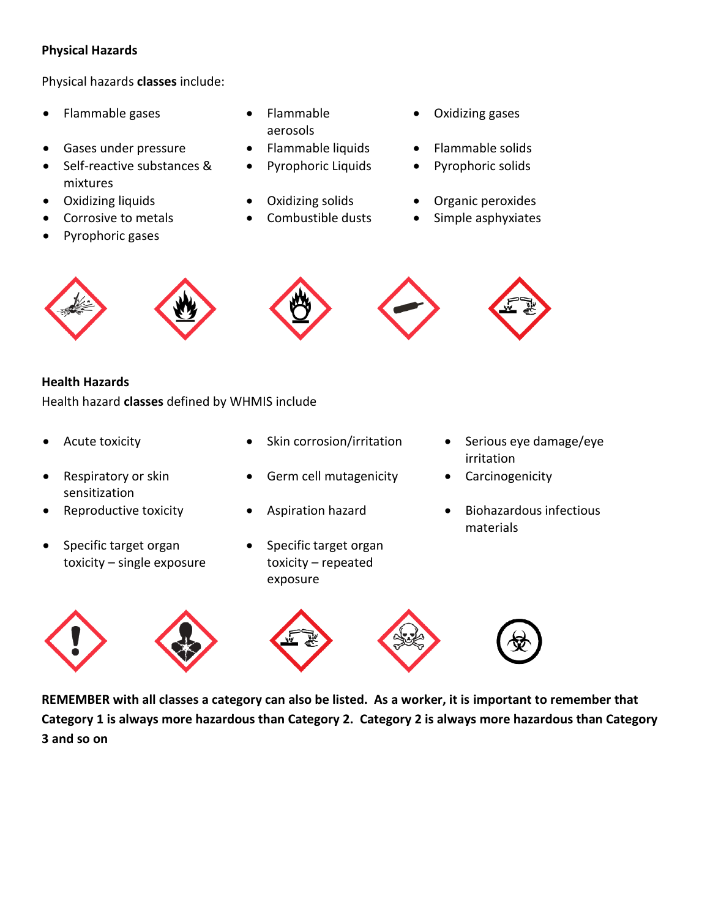### **Physical Hazards**

Physical hazards **classes** include:

- Flammable gases Flammable
- Gases under pressure Flammable liquids Flammable solids
- Self-reactive substances & mixtures
- 
- 
- Pyrophoric gases
- aerosols
- 
- 
- 
- 
- Oxidizing gases
- 
- Pyrophoric Liquids Pyrophoric solids
- Oxidizing liquids Oxidizing solids Organic peroxides
	- Corrosive to metals **COMEN** Combustible dusts **COMEN** Simple asphyxiates











### **Health Hazards**

Health hazard **classes** defined by WHMIS include

- 
- Respiratory or skin sensitization
- 
- Specific target organ toxicity – single exposure
- 
- Germ cell mutagenicity Carcinogenicity
- 
- Specific target organ toxicity – repeated exposure
- Acute toxicity **Conserver Conserversion** Skin corrosion/irritation **Conserversion** Serious eye damage/eye irritation
	-
- Reproductive toxicity **•** Aspiration hazard **•** Biohazardous infectious materials



**REMEMBER with all classes a category can also be listed. As a worker, it is important to remember that Category 1 is always more hazardous than Category 2. Category 2 is always more hazardous than Category 3 and so on**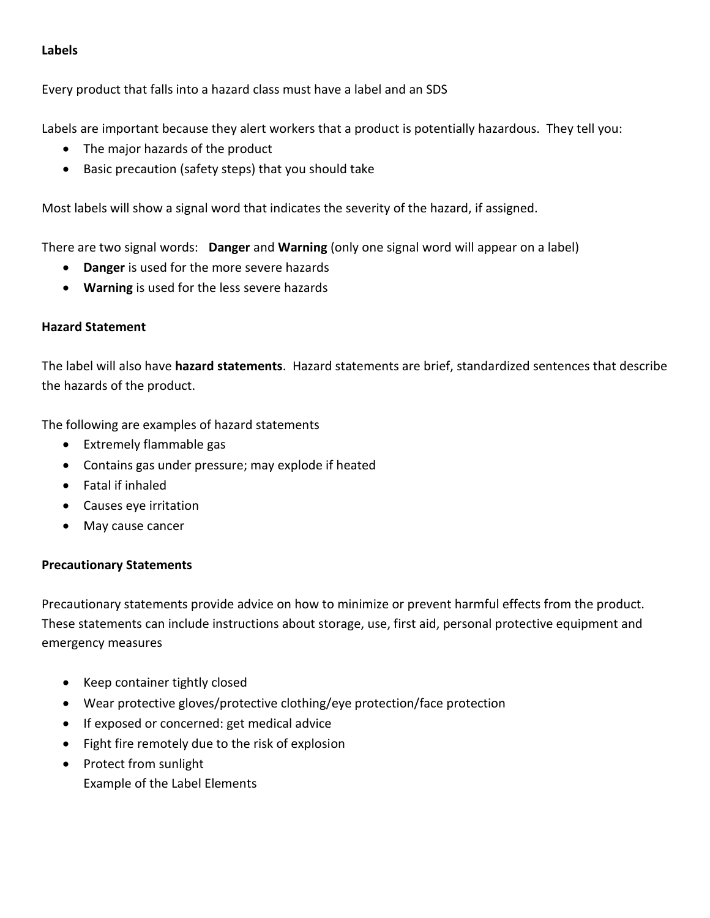### **Labels**

Every product that falls into a hazard class must have a label and an SDS

Labels are important because they alert workers that a product is potentially hazardous. They tell you:

- The major hazards of the product
- Basic precaution (safety steps) that you should take

Most labels will show a signal word that indicates the severity of the hazard, if assigned.

There are two signal words: **Danger** and **Warning** (only one signal word will appear on a label)

- **Danger** is used for the more severe hazards
- **Warning** is used for the less severe hazards

### **Hazard Statement**

The label will also have **hazard statements**. Hazard statements are brief, standardized sentences that describe the hazards of the product.

The following are examples of hazard statements

- Extremely flammable gas
- Contains gas under pressure; may explode if heated
- Fatal if inhaled
- Causes eye irritation
- May cause cancer

### **Precautionary Statements**

Precautionary statements provide advice on how to minimize or prevent harmful effects from the product. These statements can include instructions about storage, use, first aid, personal protective equipment and emergency measures

- Keep container tightly closed
- Wear protective gloves/protective clothing/eye protection/face protection
- If exposed or concerned: get medical advice
- Fight fire remotely due to the risk of explosion
- Protect from sunlight Example of the Label Elements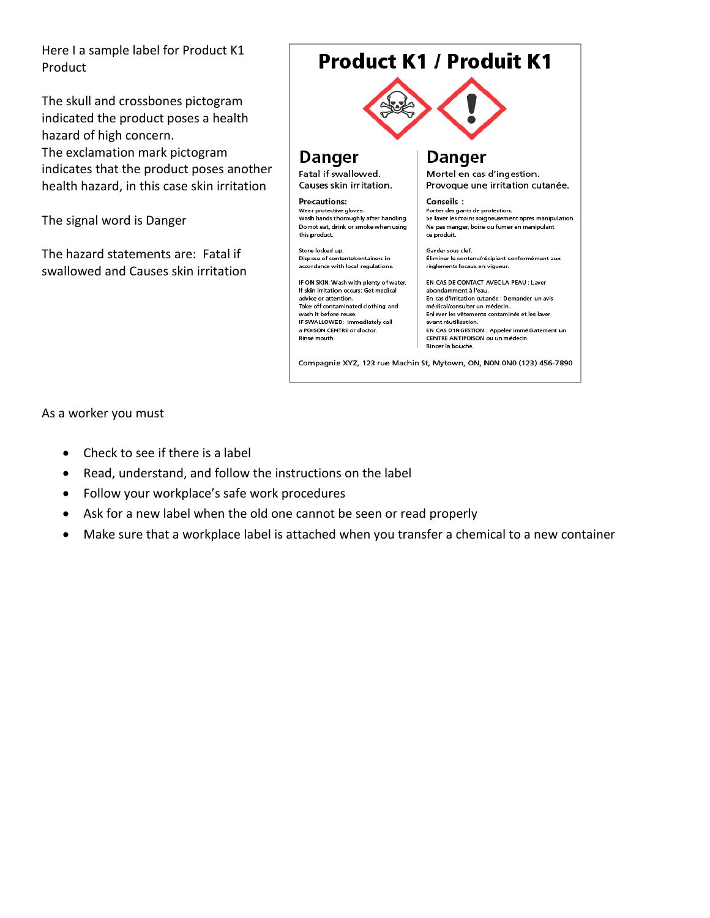Here I a sample label for Product K1 Product

The skull and crossbones pictogram indicated the product poses a health hazard of high concern. The exclamation mark pictogram indicates that the product poses another health hazard, in this case skin irritation

The signal word is Danger

The hazard statements are: Fatal if swallowed and Causes skin irritation

# **Product K1 / Produit K1**



# **Danger**

Fatal if swallowed. Causes skin irritation.

**Precautions:** Wear protective gloves.<br>Wash hands thoroughly after handling. Do not eat, drink or smoke when using this product.

Store locked up.<br>Dispose of contents/containers in accordance with local regulations.

IF ON SKIN: Wash with plenty of water. If skin irritation occurs: Get medical advice or attention. Take off contaminated clothing and wash it before reuse. IF SWALLOWED: Immediately call a POISON CENTRE or doctor. Rinse mouth.

# Danger

Mortel en cas d'ingestion. Provoque une irritation cutanée.

Conseils: Porter des gants de protection. Se laver les mains soigneusement après manipulation. Ne pas manger, boire ou fumer en manipulant ce produit.

Garder sous clef. Éliminer le contenu/récipient conformément aux règlements locaux en vigueur.

EN CAS DE CONTACT AVEC LA PEAU : Laver abondamment à l'eau.<br>En cas d'irritation cutanée : Demander un avis médical/consulter un médecin. Enlever les vêtements contaminés et les laver avant réutilisation. EN CAS D'INGESTION : Appeler immédiatement un CENTRE ANTIPOISON ou un médecin. Rincer la bouche.

Compagnie XYZ, 123 rue Machin St, Mytown, ON, N0N 0N0 (123) 456-7890

As a worker you must

- Check to see if there is a label
- Read, understand, and follow the instructions on the label
- Follow your workplace's safe work procedures
- Ask for a new label when the old one cannot be seen or read properly
- Make sure that a workplace label is attached when you transfer a chemical to a new container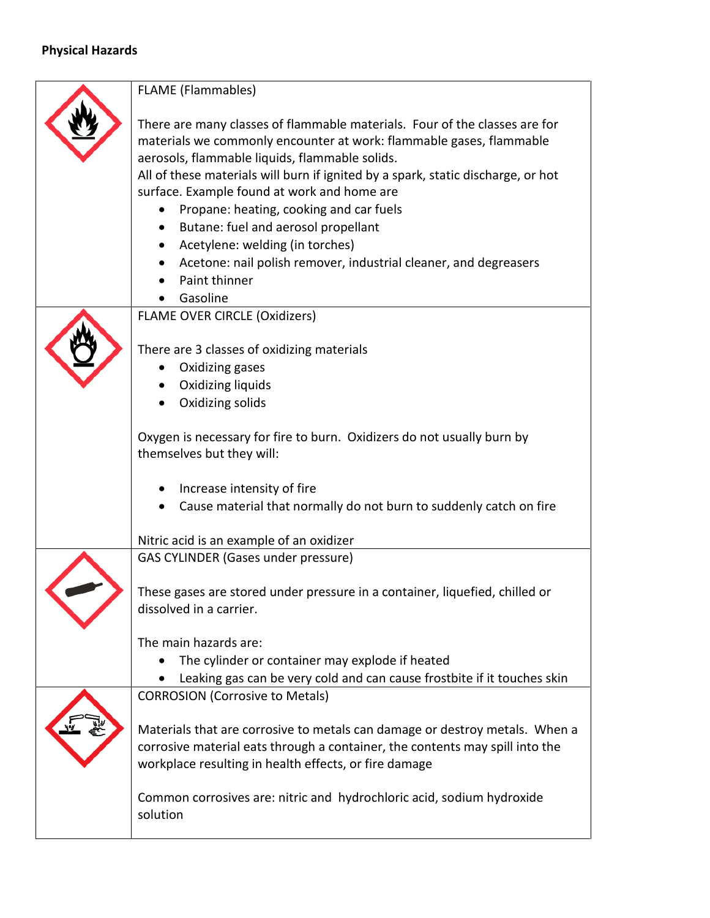# **Physical Hazards**

|  | <b>FLAME</b> (Flammables)                                                                                                                                                                                                                                                                                                                                                                                                                                                                                                                                    |  |  |  |
|--|--------------------------------------------------------------------------------------------------------------------------------------------------------------------------------------------------------------------------------------------------------------------------------------------------------------------------------------------------------------------------------------------------------------------------------------------------------------------------------------------------------------------------------------------------------------|--|--|--|
|  | There are many classes of flammable materials. Four of the classes are for<br>materials we commonly encounter at work: flammable gases, flammable<br>aerosols, flammable liquids, flammable solids.<br>All of these materials will burn if ignited by a spark, static discharge, or hot<br>surface. Example found at work and home are<br>Propane: heating, cooking and car fuels<br>Butane: fuel and aerosol propellant<br>Acetylene: welding (in torches)<br>Acetone: nail polish remover, industrial cleaner, and degreasers<br>Paint thinner<br>Gasoline |  |  |  |
|  | <b>FLAME OVER CIRCLE (Oxidizers)</b>                                                                                                                                                                                                                                                                                                                                                                                                                                                                                                                         |  |  |  |
|  | There are 3 classes of oxidizing materials<br>Oxidizing gases<br>Oxidizing liquids<br>Oxidizing solids<br>Oxygen is necessary for fire to burn. Oxidizers do not usually burn by                                                                                                                                                                                                                                                                                                                                                                             |  |  |  |
|  | themselves but they will:                                                                                                                                                                                                                                                                                                                                                                                                                                                                                                                                    |  |  |  |
|  | Increase intensity of fire<br>Cause material that normally do not burn to suddenly catch on fire<br>Nitric acid is an example of an oxidizer                                                                                                                                                                                                                                                                                                                                                                                                                 |  |  |  |
|  | <b>GAS CYLINDER (Gases under pressure)</b>                                                                                                                                                                                                                                                                                                                                                                                                                                                                                                                   |  |  |  |
|  | These gases are stored under pressure in a container, liquefied, chilled or<br>dissolved in a carrier.<br>The main hazards are:<br>The cylinder or container may explode if heated<br>Leaking gas can be very cold and can cause frostbite if it touches skin                                                                                                                                                                                                                                                                                                |  |  |  |
|  |                                                                                                                                                                                                                                                                                                                                                                                                                                                                                                                                                              |  |  |  |
|  | <b>CORROSION (Corrosive to Metals)</b>                                                                                                                                                                                                                                                                                                                                                                                                                                                                                                                       |  |  |  |
|  | Materials that are corrosive to metals can damage or destroy metals. When a<br>corrosive material eats through a container, the contents may spill into the<br>workplace resulting in health effects, or fire damage                                                                                                                                                                                                                                                                                                                                         |  |  |  |
|  | Common corrosives are: nitric and hydrochloric acid, sodium hydroxide<br>solution                                                                                                                                                                                                                                                                                                                                                                                                                                                                            |  |  |  |